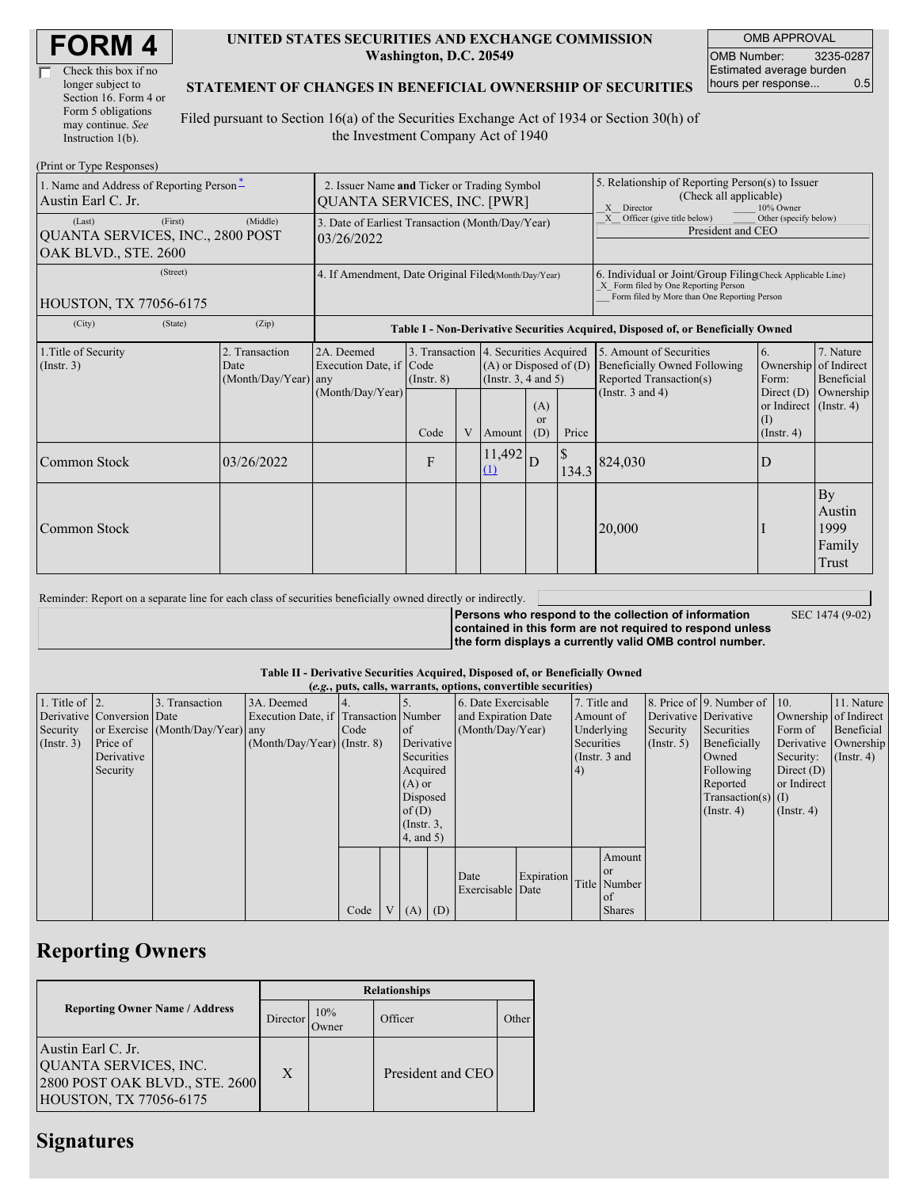| <b>FORM4</b> |
|--------------|
|--------------|

| Check this box if no  |
|-----------------------|
| longer subject to     |
| Section 16. Form 4 or |
| Form 5 obligations    |
| may continue. See     |
| Instruction 1(b).     |

### **UNITED STATES SECURITIES AND EXCHANGE COMMISSION Washington, D.C. 20549**

OMB APPROVAL OMB Number: 3235-0287 Estimated average burden<br>hours per response... 0.5 hours per response...

#### **STATEMENT OF CHANGES IN BENEFICIAL OWNERSHIP OF SECURITIES**

Filed pursuant to Section 16(a) of the Securities Exchange Act of 1934 or Section 30(h) of the Investment Company Act of 1940

| (Print or Type Responses)                                          |                                                                                   |                                                |                                                           |                                                                                  |   |                                                                                                                                                    |                                                                               |       |                                                                                    |                                                              |                                         |  |
|--------------------------------------------------------------------|-----------------------------------------------------------------------------------|------------------------------------------------|-----------------------------------------------------------|----------------------------------------------------------------------------------|---|----------------------------------------------------------------------------------------------------------------------------------------------------|-------------------------------------------------------------------------------|-------|------------------------------------------------------------------------------------|--------------------------------------------------------------|-----------------------------------------|--|
| 1. Name and Address of Reporting Person-<br>Austin Earl C. Jr.     | 2. Issuer Name and Ticker or Trading Symbol<br><b>QUANTA SERVICES, INC. [PWR]</b> |                                                |                                                           |                                                                                  |   | 5. Relationship of Reporting Person(s) to Issuer<br>(Check all applicable)<br>Director<br>10% Owner<br>X                                           |                                                                               |       |                                                                                    |                                                              |                                         |  |
| (Last)<br>QUANTA SERVICES, INC., 2800 POST<br>OAK BLVD., STE. 2600 | 3. Date of Earliest Transaction (Month/Day/Year)<br>03/26/2022                    |                                                |                                                           |                                                                                  |   |                                                                                                                                                    | Officer (give title below)<br>Other (specify below)<br>X<br>President and CEO |       |                                                                                    |                                                              |                                         |  |
| <b>HOUSTON, TX 77056-6175</b>                                      | 4. If Amendment, Date Original Filed Month/Day/Year)                              |                                                |                                                           |                                                                                  |   | 6. Individual or Joint/Group Filing Check Applicable Line)<br>X Form filed by One Reporting Person<br>Form filed by More than One Reporting Person |                                                                               |       |                                                                                    |                                                              |                                         |  |
| (City)                                                             | (State)                                                                           | (Zip)                                          |                                                           | Table I - Non-Derivative Securities Acquired, Disposed of, or Beneficially Owned |   |                                                                                                                                                    |                                                                               |       |                                                                                    |                                                              |                                         |  |
| 1. Title of Security<br>(Insert. 3)                                |                                                                                   | 2. Transaction<br>Date<br>(Month/Day/Year) any | 2A. Deemed<br>Execution Date, if Code<br>(Month/Day/Year) | $($ Instr. $8)$                                                                  |   | 3. Transaction 4. Securities Acquired<br>$(A)$ or Disposed of $(D)$<br>(Instr. $3, 4$ and $5$ )                                                    |                                                                               |       | 5. Amount of Securities<br>Beneficially Owned Following<br>Reported Transaction(s) | 6.<br>Ownership of Indirect<br>Form:                         | 7. Nature<br>Beneficial                 |  |
|                                                                    |                                                                                   |                                                |                                                           | Code                                                                             | V | Amount                                                                                                                                             | (A)<br>$\alpha$<br>(D)                                                        | Price | (Instr. $3$ and $4$ )                                                              | Direct $(D)$<br>or Indirect (Instr. 4)<br>(1)<br>(Insert, 4) | Ownership                               |  |
| Common Stock                                                       |                                                                                   | 03/26/2022                                     |                                                           | $\mathbf{F}$                                                                     |   | 11,492<br>(1)                                                                                                                                      | D                                                                             | 134.3 | 824,030                                                                            | D                                                            |                                         |  |
| Common Stock                                                       |                                                                                   |                                                |                                                           |                                                                                  |   |                                                                                                                                                    |                                                                               |       | 20,000                                                                             |                                                              | By<br>Austin<br>1999<br>Family<br>Trust |  |

| Reminder: Report on a separate line for each class of securities beneficially owned directly or indirectly. |                                                                                                                                                                              |                 |
|-------------------------------------------------------------------------------------------------------------|------------------------------------------------------------------------------------------------------------------------------------------------------------------------------|-----------------|
|                                                                                                             | Persons who respond to the collection of information<br>contained in this form are not required to respond unless<br>the form displays a currently valid OMB control number. | SEC 1474 (9-02) |

#### **Table II - Derivative Securities Acquired, Disposed of, or Beneficially Owned (***e.g.***, puts, calls, warrants, options, convertible securities)**

| $(0.5)$ puts, cans, wai rants, options, convertion securities |                            |                                  |                                       |      |                |                 |  |                     |            |               |               |                       |                              |                       |                  |
|---------------------------------------------------------------|----------------------------|----------------------------------|---------------------------------------|------|----------------|-----------------|--|---------------------|------------|---------------|---------------|-----------------------|------------------------------|-----------------------|------------------|
| 1. Title of $\vert$ 2.                                        |                            | 3. Transaction                   | 3A. Deemed                            |      |                |                 |  | 6. Date Exercisable |            |               | 7. Title and  |                       | 8. Price of 9. Number of 10. |                       | 11. Nature       |
|                                                               | Derivative Conversion Date |                                  | Execution Date, if Transaction Number |      |                |                 |  | and Expiration Date |            | Amount of     |               | Derivative Derivative |                              | Ownership of Indirect |                  |
| Security                                                      |                            | or Exercise (Month/Day/Year) any |                                       | Code |                | <sub>of</sub>   |  | (Month/Day/Year)    |            | Underlying    |               | Security              | Securities                   | Form of               | Beneficial       |
| $($ Instr. 3 $)$                                              | Price of                   |                                  | $(Month/Day/Year)$ (Instr. 8)         |      |                | Derivative      |  |                     |            | Securities    |               | $($ Instr. 5 $)$      | Beneficially                 | Derivative Ownership  |                  |
|                                                               | Derivative                 |                                  |                                       |      |                | Securities      |  |                     |            | (Instr. 3 and |               |                       | Owned                        | Security:             | $($ Instr. 4 $)$ |
|                                                               | Security                   |                                  |                                       |      |                | Acquired        |  |                     |            | (4)           |               |                       | Following                    | Direct $(D)$          |                  |
|                                                               |                            |                                  |                                       |      |                | $(A)$ or        |  |                     |            |               |               |                       | Reported                     | or Indirect           |                  |
|                                                               |                            |                                  |                                       |      |                | Disposed        |  |                     |            |               |               |                       | $Transaction(s)$ (I)         |                       |                  |
|                                                               |                            |                                  |                                       |      |                | of(D)           |  |                     |            |               |               |                       | $($ Instr. 4 $)$             | $($ Instr. 4 $)$      |                  |
|                                                               |                            |                                  |                                       |      |                | $($ Instr. $3,$ |  |                     |            |               |               |                       |                              |                       |                  |
|                                                               |                            |                                  |                                       |      |                | 4, and 5)       |  |                     |            |               |               |                       |                              |                       |                  |
|                                                               |                            |                                  |                                       |      |                |                 |  |                     |            |               | Amount        |                       |                              |                       |                  |
|                                                               |                            |                                  |                                       |      |                |                 |  |                     |            |               | $\alpha$      |                       |                              |                       |                  |
|                                                               |                            |                                  |                                       |      |                |                 |  | Date                | Expiration |               | Title Number  |                       |                              |                       |                  |
|                                                               |                            |                                  |                                       |      |                |                 |  | Exercisable Date    |            |               | of            |                       |                              |                       |                  |
|                                                               |                            |                                  |                                       | Code | V <sub>1</sub> | $(A)$ $(D)$     |  |                     |            |               | <b>Shares</b> |                       |                              |                       |                  |

## **Reporting Owners**

|                                                                                                         | <b>Relationships</b> |              |                   |       |  |  |  |  |  |
|---------------------------------------------------------------------------------------------------------|----------------------|--------------|-------------------|-------|--|--|--|--|--|
| <b>Reporting Owner Name / Address</b>                                                                   | Director             | 10%<br>Jwner | Officer           | Other |  |  |  |  |  |
| Austin Earl C. Jr.<br>QUANTA SERVICES, INC.<br>2800 POST OAK BLVD., STE. 2600<br>HOUSTON, TX 77056-6175 | X                    |              | President and CEO |       |  |  |  |  |  |

## **Signatures**